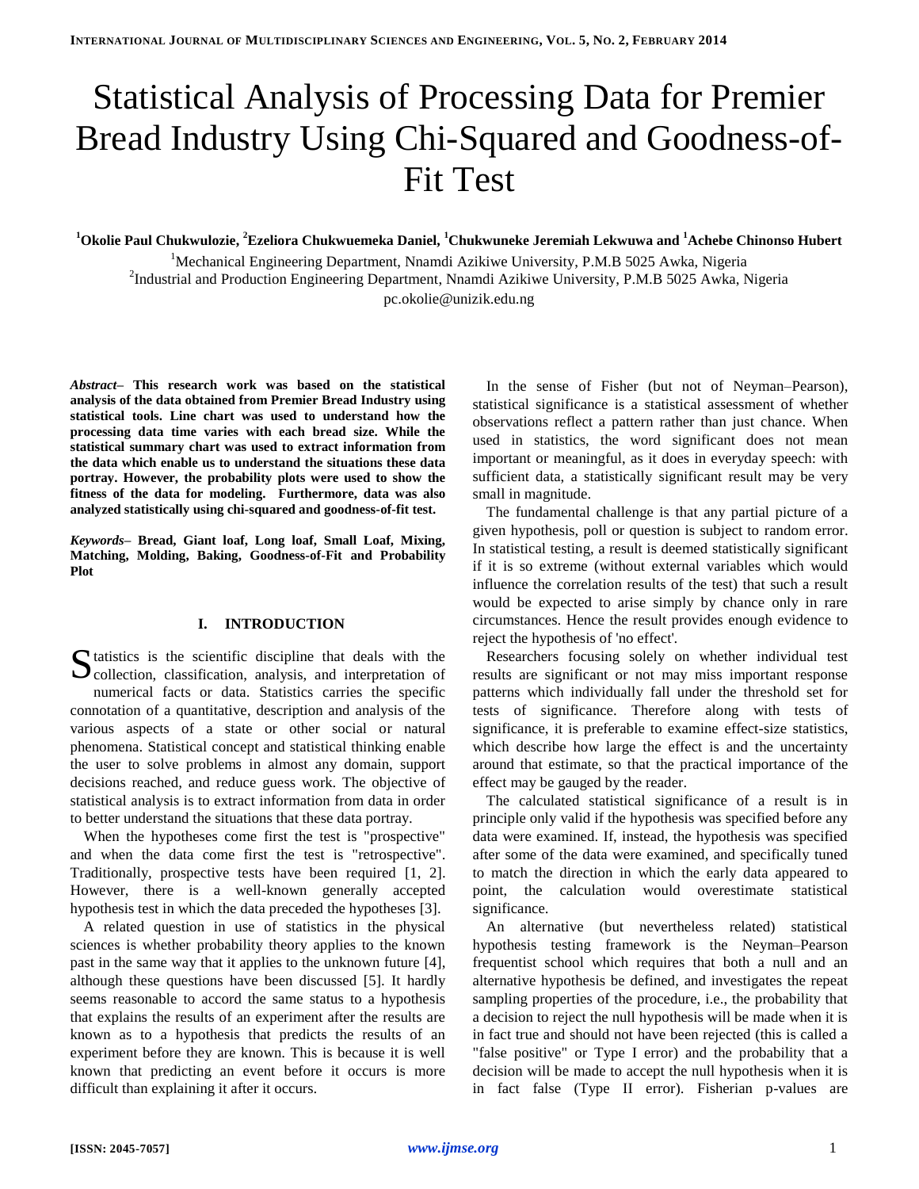# Statistical Analysis of Processing Data for Premier Bread Industry Using Chi-Squared and Goodness-of-Fit Test

**<sup>1</sup>Okolie Paul Chukwulozie, <sup>2</sup>Ezeliora Chukwuemeka Daniel, <sup>1</sup>Chukwuneke Jeremiah Lekwuwa and <sup>1</sup>Achebe Chinonso Hubert**

<sup>1</sup>Mechanical Engineering Department, Nnamdi Azikiwe University, P.M.B 5025 Awka, Nigeria 2 Industrial and Production Engineering Department, Nnamdi Azikiwe University, P.M.B 5025 Awka, Nigeria pc.okolie@unizik.edu.ng

*Abstract–* **This research work was based on the statistical analysis of the data obtained from Premier Bread Industry using statistical tools. Line chart was used to understand how the processing data time varies with each bread size. While the statistical summary chart was used to extract information from the data which enable us to understand the situations these data portray. However, the probability plots were used to show the fitness of the data for modeling. Furthermore, data was also analyzed statistically using chi-squared and goodness-of-fit test.**

*Keywords–* **Bread, Giant loaf, Long loaf, Small Loaf, Mixing, Matching, Molding, Baking, Goodness-of-Fit and Probability Plot**

## **I. INTRODUCTION**

 $\Gamma$  tatistics is the scientific discipline that deals with the S tatistics is the scientific discipline that deals with the collection, classification, analysis, and interpretation of numerical facts or data. Statistics carries the specific connotation of a quantitative, description and analysis of the various aspects of a state or other social or natural phenomena. Statistical concept and statistical thinking enable the user to solve problems in almost any domain, support decisions reached, and reduce guess work. The objective of statistical analysis is to extract information from data in order to better understand the situations that these data portray.

When the hypotheses come first the test is "prospective" and when the data come first the test is "retrospective". Traditionally, prospective tests have been required [1, 2]. However, there is a well-known generally accepted hypothesis test in which the data preceded the hypotheses [3].

A related question in use of statistics in the physical sciences is whether probability theory applies to the known past in the same way that it applies to the unknown future [4], although these questions have been discussed [5]. It hardly seems reasonable to accord the same status to a hypothesis that explains the results of an experiment after the results are known as to a hypothesis that predicts the results of an experiment before they are known. This is because it is well known that predicting an event before it occurs is more difficult than explaining it after it occurs.

In the sense of Fisher (but not of Neyman–Pearson), statistical significance is a [statistical](http://en.wikipedia.org/wiki/Statistical) assessment of whether observations reflect a pattern rather than just [chance.](http://en.wikipedia.org/wiki/Randomness) When used in statistics, the word significant does not mean important or meaningful, as it does in everyday speech: with sufficient data, a statistically significant result may be very small in magnitude.

The fundamental challenge is that any partial picture of a given hypothesis, poll or question is subject to [random error.](http://en.wikipedia.org/wiki/Random_error) In [statistical testing,](http://en.wikipedia.org/wiki/Statistical_test) a result is deemed statistically significant if it is so extreme (without external [variables](http://en.wikipedia.org/wiki/Independent_variable) which would influence the [correlation](http://en.wikipedia.org/wiki/Correlation) results of the test) that such a result would be expected to arise simply by chance only in rare circumstances. Hence the result provides enough evidence to reject the hypothesis of 'no effect'.

Researchers focusing solely on whether individual test results are significant or not may miss important response patterns which individually fall under the threshold set for tests of significance. Therefore along with tests of significance, it is preferable to examine [effect-size](http://en.wikipedia.org/wiki/Effect_size) statistics, which describe how large the effect is and the uncertainty around that estimate, so that the practical importance of the effect may be gauged by the reader.

The calculated statistical significance of a result is in principle only valid if the hypothesis was specified before any data were examined. If, instead, the hypothesis was specified after some of the data were examined, and specifically tuned to match the direction in which the early data appeared to point, the calculation would overestimate statistical significance.

An alternative (but nevertheless related) statistical hypothesis testing framework is the [Neyman–Pearson](http://en.wikipedia.org/wiki/Neyman%E2%80%93Pearson_lemma) frequentist school which requires that both a null and an alternative hypothesis be defined, and investigates the repeat sampling properties of the procedure, i.e., the probability that a decision to reject the null hypothesis will be made when it is in fact true and should not have been rejected (this is called a "false positive" or [Type I error\)](http://en.wikipedia.org/wiki/Type_I_error) and the probability that a decision will be made to accept the null hypothesis when it is in fact false [\(Type II error\)](http://en.wikipedia.org/wiki/Type_II_error). Fisherian p-values are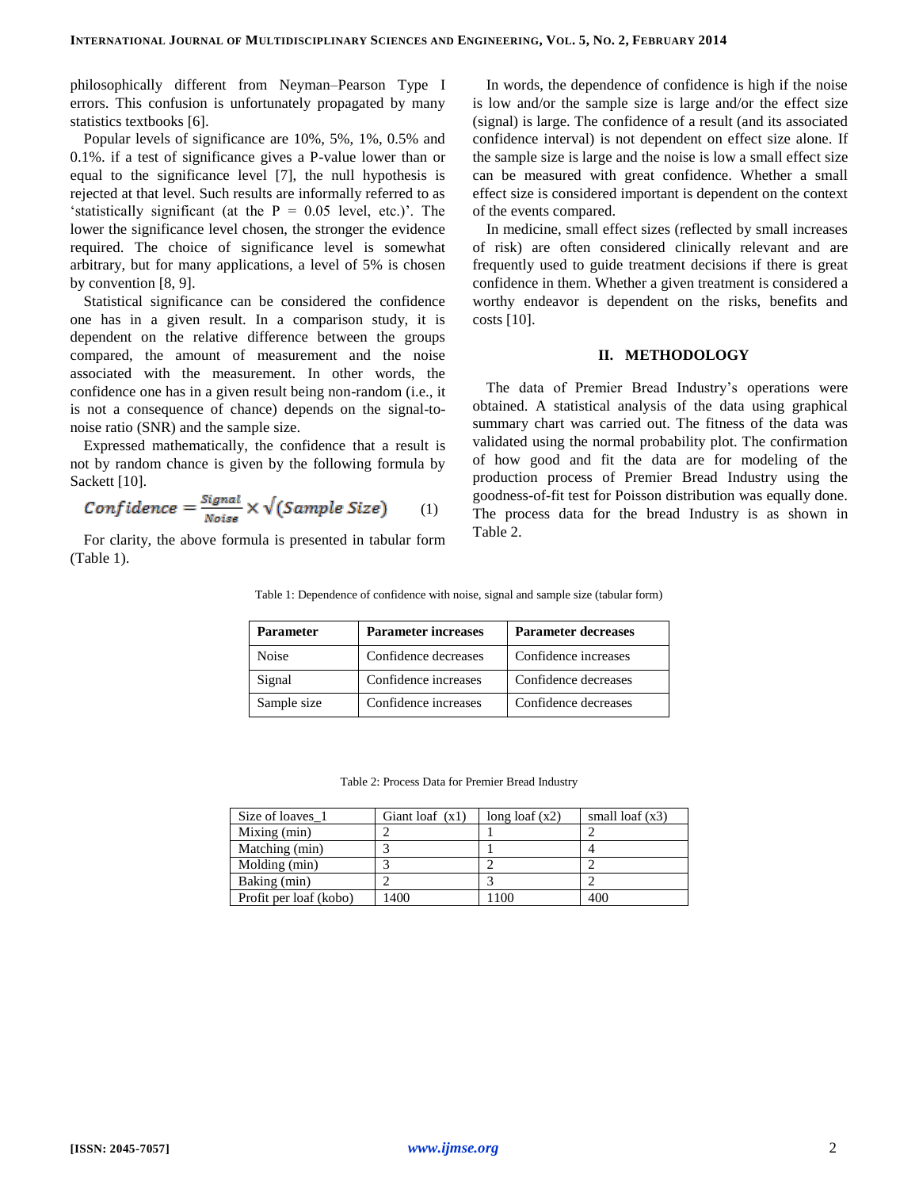philosophically different from Neyman–Pearson Type I errors. This confusion is unfortunately propagated by many statistics textbooks [6].

Popular levels of significance are 10%, 5%, 1%, 0.5% and 0.1%. if a test of significance gives a P-value lower than or equal to the significance level [7], the null hypothesis is rejected at that level. Such results are informally referred to as 'statistically significant (at the  $P = 0.05$  level, etc.)'. The lower the significance level chosen, the stronger the evidence required. The choice of significance level is somewhat arbitrary, but for many applications, a level of 5% is chosen by convention [8, 9].

Statistical significance can be considered the confidence one has in a given result. In a comparison study, it is dependent on the relative difference between the groups compared, the amount of measurement and the noise associated with the measurement. In other words, the confidence one has in a given result being non-random (i.e., it is not a consequence of [chance\)](http://en.wikipedia.org/wiki/Randomness) depends on the [signal-to](http://en.wikipedia.org/wiki/Signal-to-noise_ratio)[noise ratio](http://en.wikipedia.org/wiki/Signal-to-noise_ratio) (SNR) and the sample size.

Expressed mathematically, the confidence that a result is not by random chance is given by the following formula by Sackett [10].

$$
Confidence = \frac{Signal}{Noise} \times \sqrt{(Sample \, Size)} \qquad (1)
$$

For clarity, the above formula is presented in tabular form (Table 1).

In words, the dependence of confidence is high if the noise is low and/or the sample size is large and/or the [effect size](http://en.wikipedia.org/wiki/Effect_size) (signal) is large. The confidence of a result (and its associated [confidence interval\)](http://en.wikipedia.org/wiki/Confidence_interval) is not dependent on effect size alone. If the sample size is large and the noise is low a small effect size can be measured with great confidence. Whether a small effect size is considered important is dependent on the context of the events compared.

In medicine, small effect sizes (reflected by small increases of risk) are often considered clinically relevant and are frequently used to guide treatment decisions if there is great confidence in them. Whether a given treatment is considered a worthy endeavor is dependent on the risks, benefits and costs [10].

### **II. METHODOLOGY**

The data of Premier Bread Industry's operations were obtained. A statistical analysis of the data using graphical summary chart was carried out. The fitness of the data was validated using the normal probability plot. The confirmation of how good and fit the data are for modeling of the production process of Premier Bread Industry using the goodness-of-fit test for Poisson distribution was equally done. The process data for the bread Industry is as shown in Table 2.

Table 1: Dependence of confidence with noise, signal and sample size (tabular form)

| <b>Parameter</b> | <b>Parameter increases</b> | <b>Parameter decreases</b> |  |
|------------------|----------------------------|----------------------------|--|
| Noise            | Confidence decreases       | Confidence increases       |  |
| Signal           | Confidence increases       | Confidence decreases       |  |
| Sample size      | Confidence increases       | Confidence decreases       |  |

Table 2: Process Data for Premier Bread Industry

| Size of loaves 1       | Giant loaf $(x1)$ | long loaf $(x2)$ | small $\text{log} f(x3)$ |
|------------------------|-------------------|------------------|--------------------------|
| Mixing (min)           |                   |                  |                          |
| Matching (min)         |                   |                  |                          |
| Molding (min)          |                   |                  |                          |
| Baking (min)           |                   |                  |                          |
| Profit per loaf (kobo) | 1400              | 1100             | 400                      |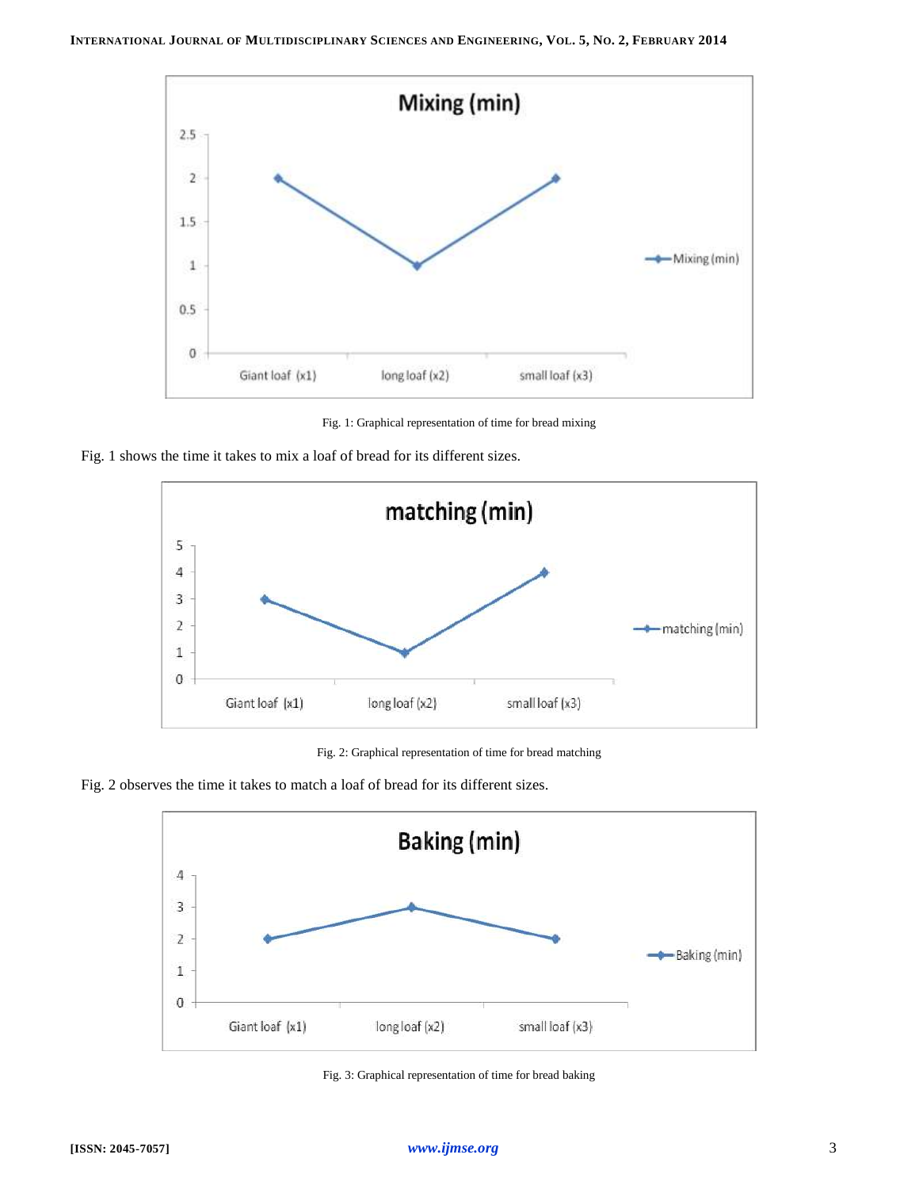

Fig. 1: Graphical representation of time for bread mixing





Fig. 2: Graphical representation of time for bread matching





Fig. 3: Graphical representation of time for bread baking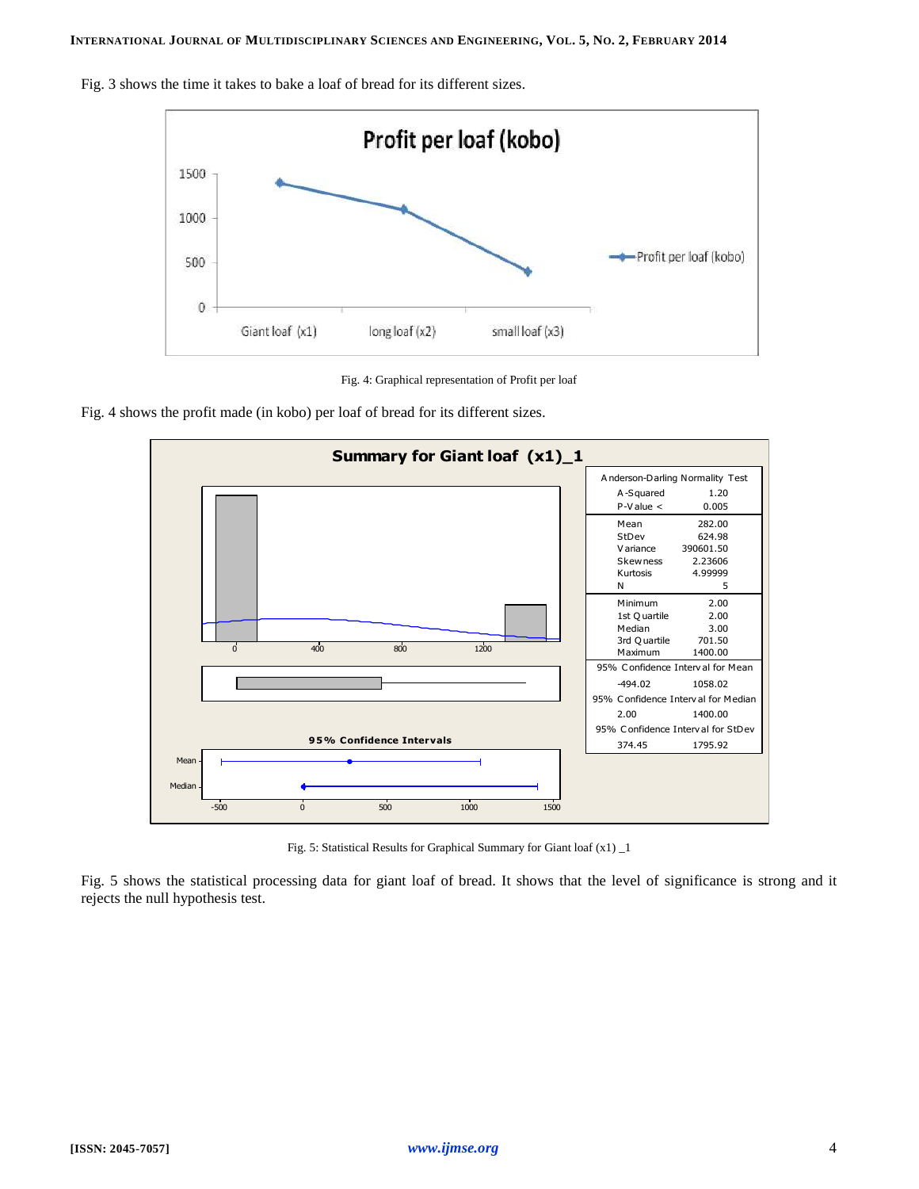Profit per loaf (kobo) 1500 1000 -Profit per loaf (kobo) 500  $\theta$ Giant loaf (x1) long loaf (x2) small loaf (x3)

Fig. 3 shows the time it takes to bake a loaf of bread for its different sizes.



Fig. 4 shows the profit made (in kobo) per loaf of bread for its different sizes.



Fig. 5: Statistical Results for Graphical Summary for Giant loaf (x1) \_1

Fig. 5 shows the statistical processing data for giant loaf of bread. It shows that the level of significance is strong and it rejects the null hypothesis test.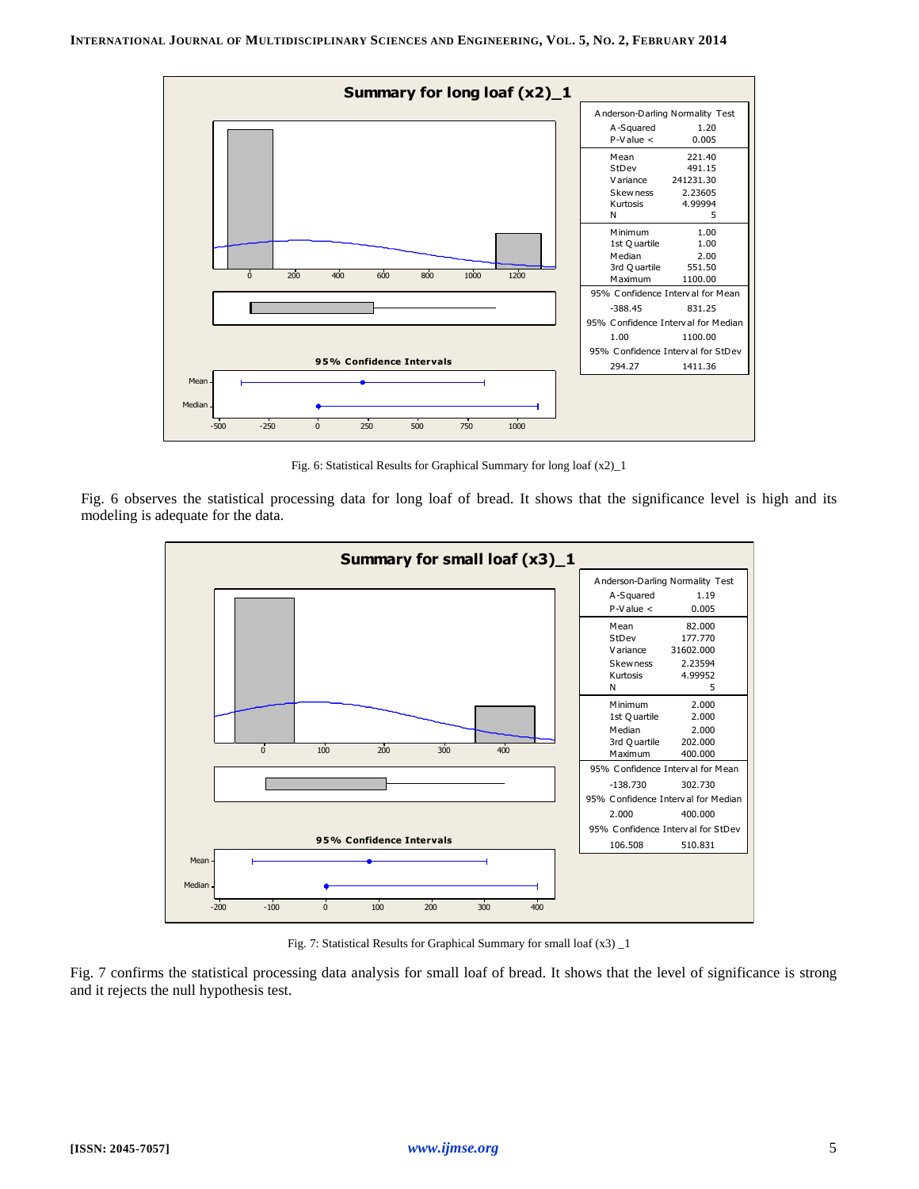

Fig. 6: Statistical Results for Graphical Summary for long loaf (x2)\_1

Fig. 6 observes the statistical processing data for long loaf of bread. It shows that the significance level is high and its modeling is adequate for the data.



Fig. 7: Statistical Results for Graphical Summary for small loaf (x3) \_1

Fig. 7 confirms the statistical processing data analysis for small loaf of bread. It shows that the level of significance is strong and it rejects the null hypothesis test.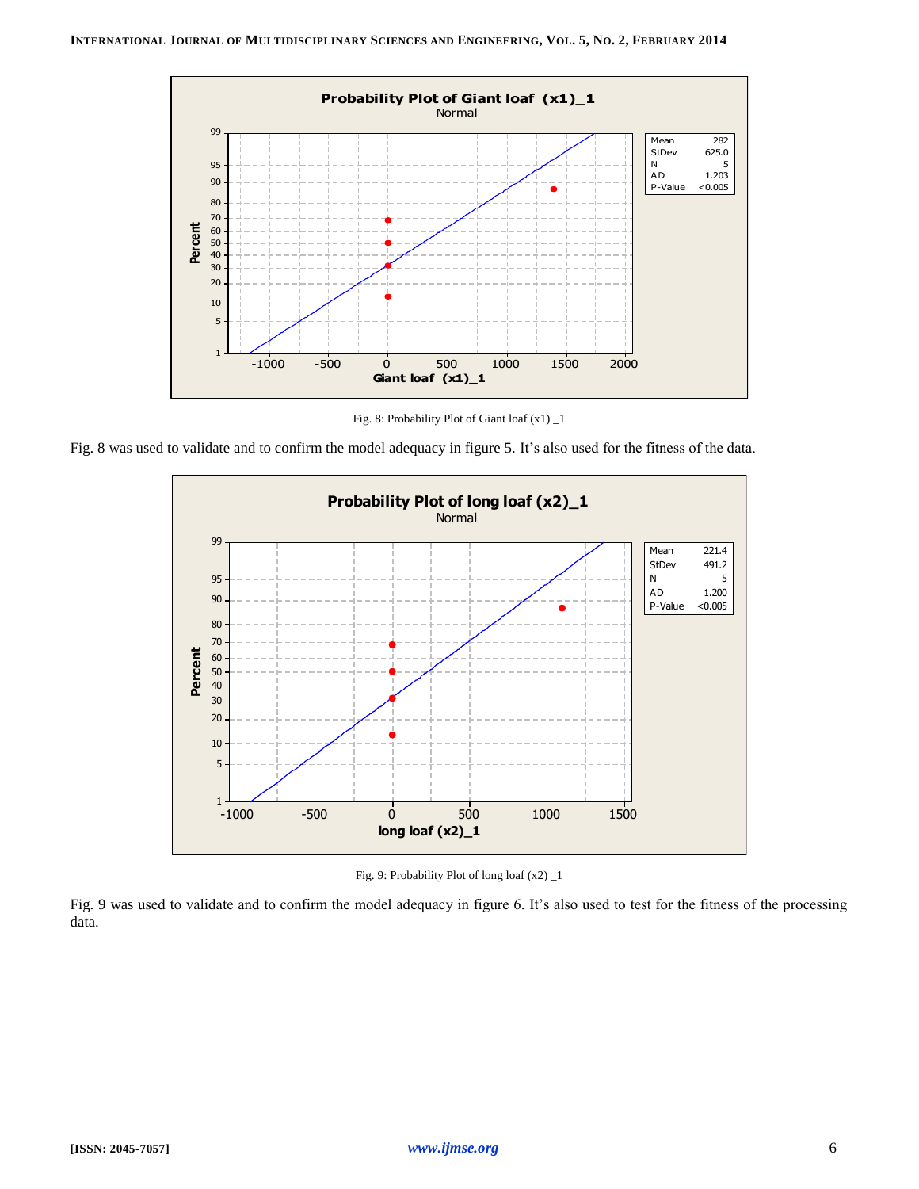

Fig. 8: Probability Plot of Giant loaf (x1) \_1

Fig. 8 was used to validate and to confirm the model adequacy in figure 5. It's also used for the fitness of the data.



Fig. 9: Probability Plot of long loaf (x2) \_1

Fig. 9 was used to validate and to confirm the model adequacy in figure 6. It's also used to test for the fitness of the processing data.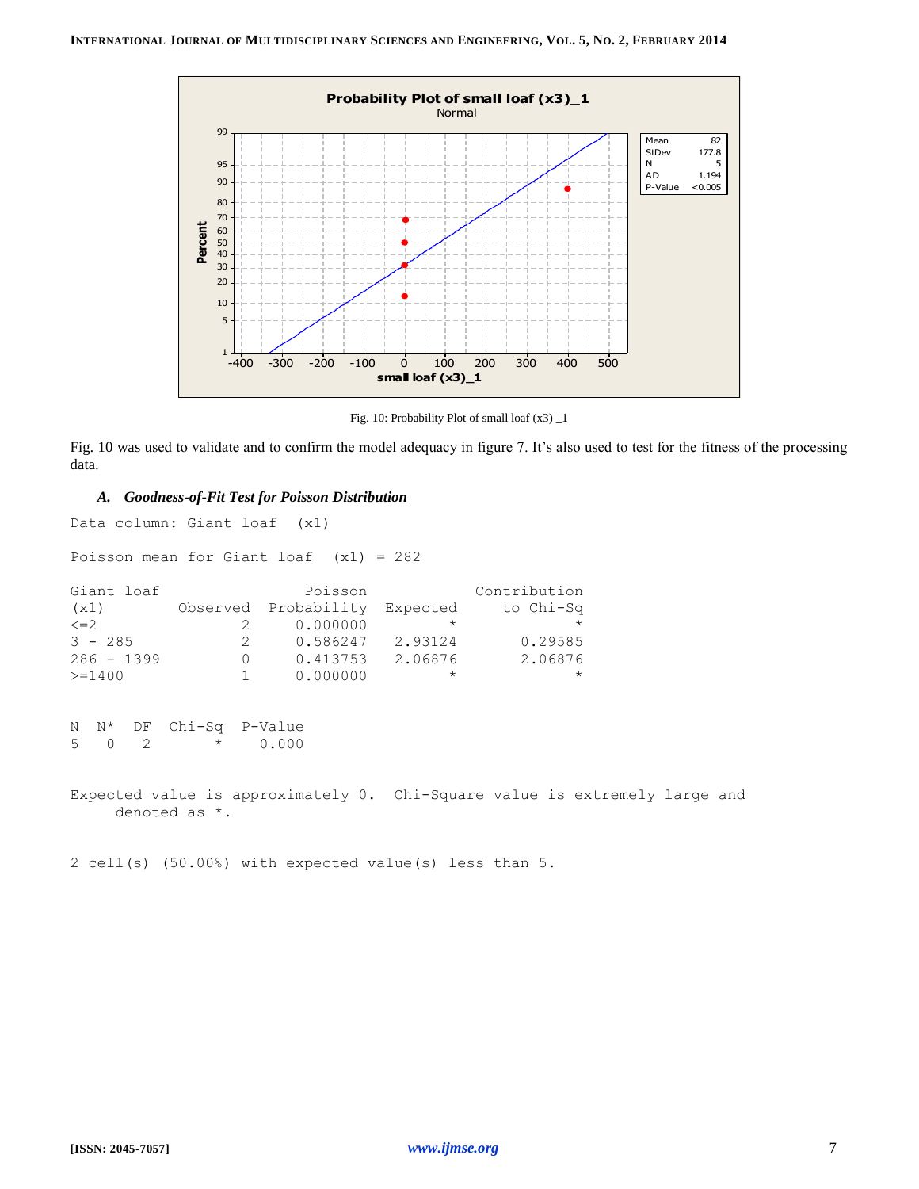

Fig. 10: Probability Plot of small loaf (x3) \_1

Fig. 10 was used to validate and to confirm the model adequacy in figure 7. It's also used to test for the fitness of the processing data.

## *A. Goodness-of-Fit Test for Poisson Distribution*

Data column: Giant loaf (x1)

Poisson mean for Giant loaf (x1) = 282

| Giant loaf   |   | Poisson                       |          | Contribution |
|--------------|---|-------------------------------|----------|--------------|
| (x1)         |   | Observed Probability Expected |          | to Chi-Sq    |
| $\leq$ = 2   |   | 0.000000                      | $\star$  | $\star$      |
| $3 - 285$    | 2 | 0.586247                      | 2.93124  | 0.29585      |
| $286 - 1399$ | ( | 0.413753                      | 2.06876  | 2.06876      |
| $>=1400$     |   | 0.000000                      | $^\star$ | $\star$      |

```
N N* DF Chi-Sq P-Value
5 0 2 * 0.000
```
Expected value is approximately 0. Chi-Square value is extremely large and denoted as \*.

2 cell(s) (50.00%) with expected value(s) less than 5.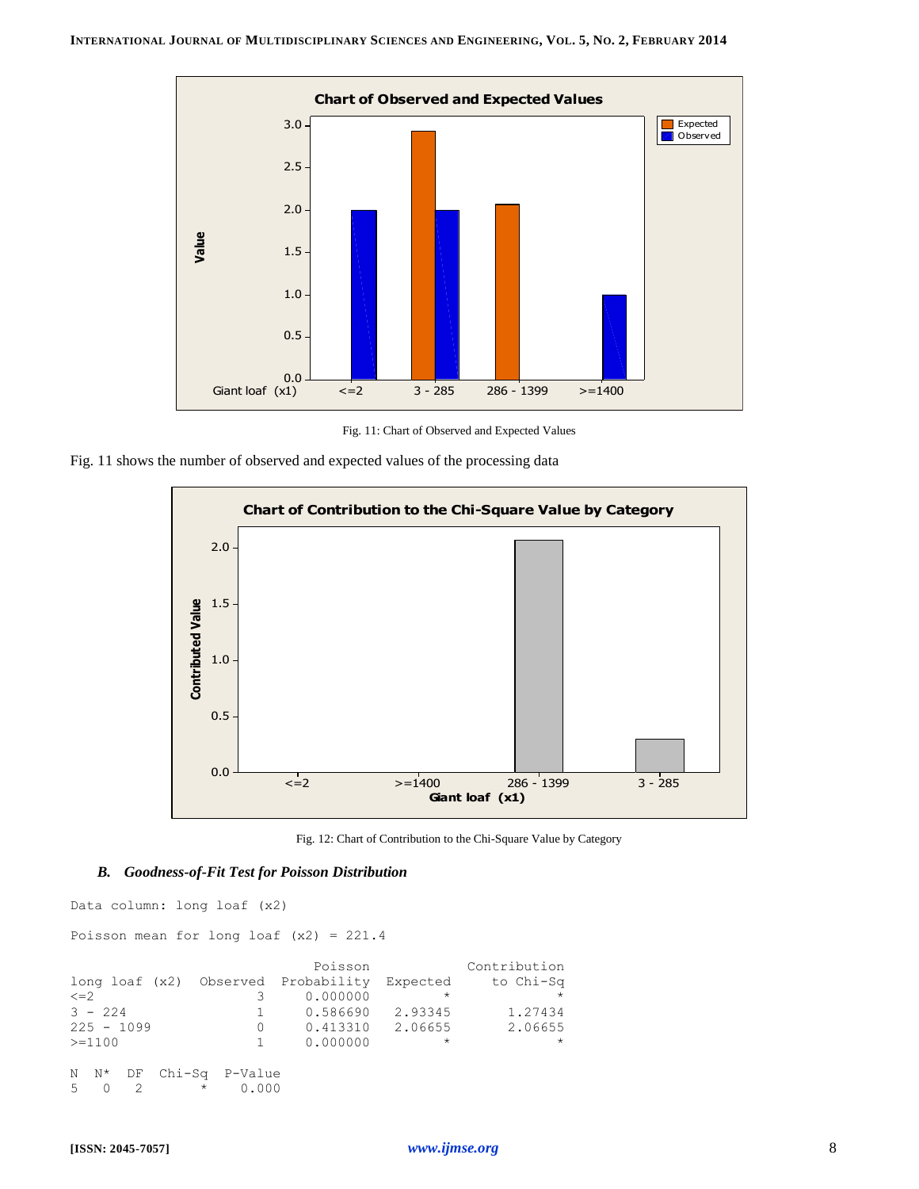

Fig. 11: Chart of Observed and Expected Values





Fig. 12: Chart of Contribution to the Chi-Square Value by Category

#### *B. Goodness-of-Fit Test for Poisson Distribution*

Data column: long loaf (x2)

Poisson mean for long loaf (x2) = 221.4

|              |                   | Poisson                                      |         | Contribution |
|--------------|-------------------|----------------------------------------------|---------|--------------|
|              |                   | long loaf (x2) Observed Probability Expected |         | to Chi-Sq    |
| $\leq$ $=$ 2 |                   | 0.000000                                     | $\star$ | $\star$      |
| $3 - 224$    | $\mathbf{1}$      | 0.586690                                     | 2.93345 | 1.27434      |
| $225 - 1099$ | $\Omega$          | 0.413310                                     | 2.06655 | 2.06655      |
| $>=1100$     | 1.                | 0.000000                                     | $\star$ | $\star$      |
|              |                   |                                              |         |              |
| N N* DF      | Chi-Sq P-Value    |                                              |         |              |
| .5           | $^\star$<br>0.000 |                                              |         |              |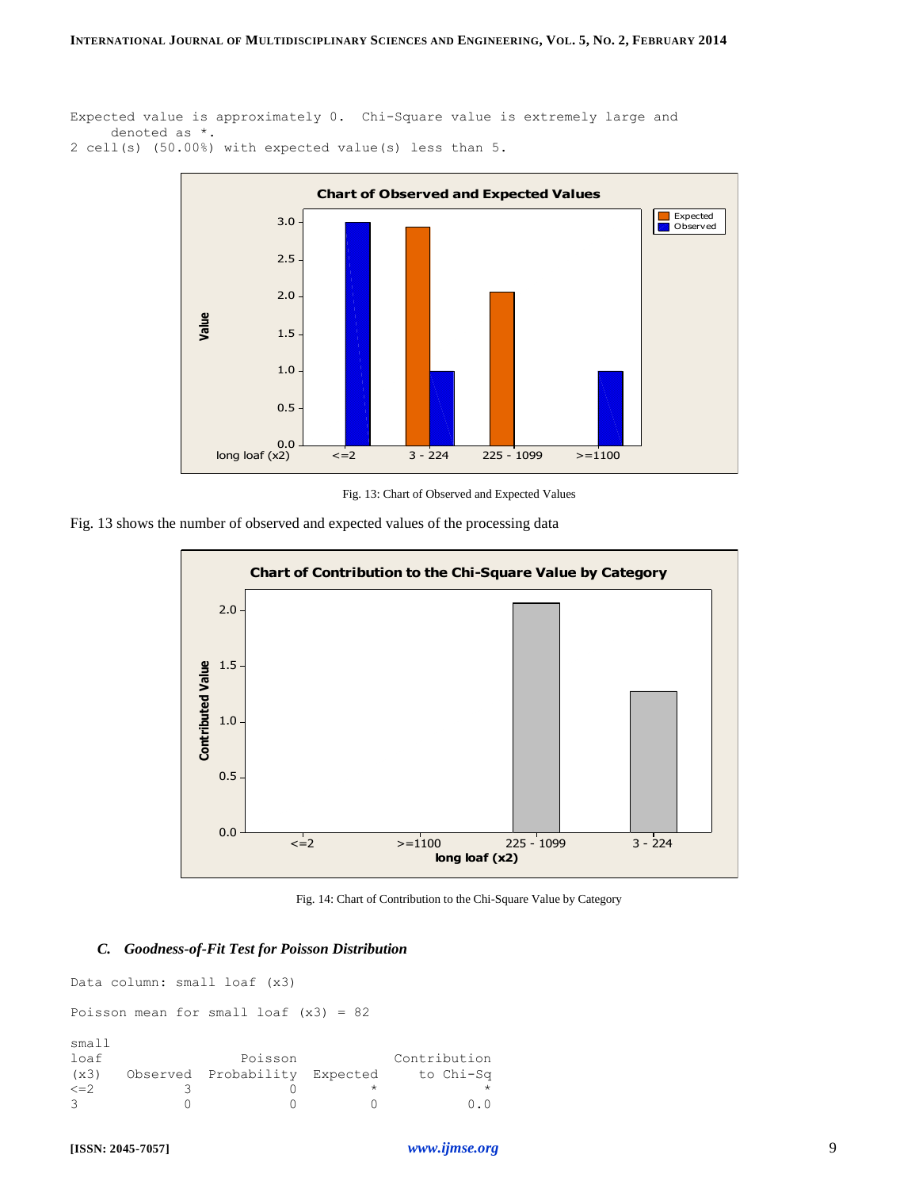```
Expected value is approximately 0. Chi-Square value is extremely large and
      denoted as *.
2 cell(s) (50.00%) with expected value(s) less than 5.
```


Fig. 13: Chart of Observed and Expected Values

Fig. 13 shows the number of observed and expected values of the processing data



Fig. 14: Chart of Contribution to the Chi-Square Value by Category

## *C. Goodness-of-Fit Test for Poisson Distribution*

Data column: small loaf (x3) Poisson mean for small loaf (x3) = 82 small Doisson Contribution

| loar       | PO1SSON                       | CONTRIDUTION |
|------------|-------------------------------|--------------|
| (x3)       | Observed Probability Expected | to Chi-Sq    |
| $\leq$ = 2 |                               |              |
|            |                               | 0.0          |
|            |                               |              |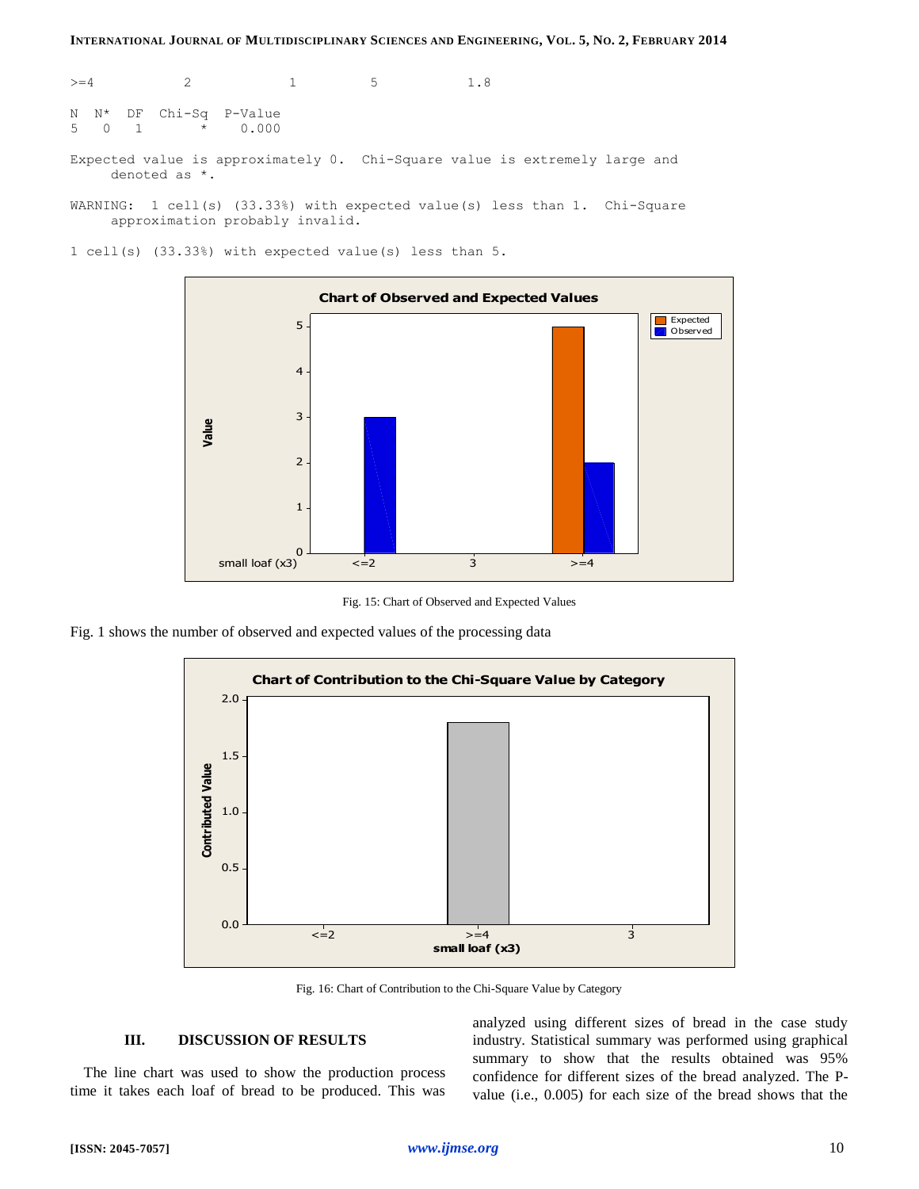$>=4$  2 1 5 1.8 N N\* DF Chi-Sq P-Value 5 0 1 \* 0.000 Expected value is approximately 0. Chi-Square value is extremely large and denoted as \*. WARNING: 1 cell(s) (33.33%) with expected value(s) less than 1. Chi-Square

approximation probably invalid.

1 cell(s) (33.33%) with expected value(s) less than 5.



Fig. 15: Chart of Observed and Expected Values

Fig. 1 shows the number of observed and expected values of the processing data



Fig. 16: Chart of Contribution to the Chi-Square Value by Category

## **III. DISCUSSION OF RESULTS**

The line chart was used to show the production process time it takes each loaf of bread to be produced. This was analyzed using different sizes of bread in the case study industry. Statistical summary was performed using graphical summary to show that the results obtained was 95% confidence for different sizes of the bread analyzed. The Pvalue (i.e., 0.005) for each size of the bread shows that the